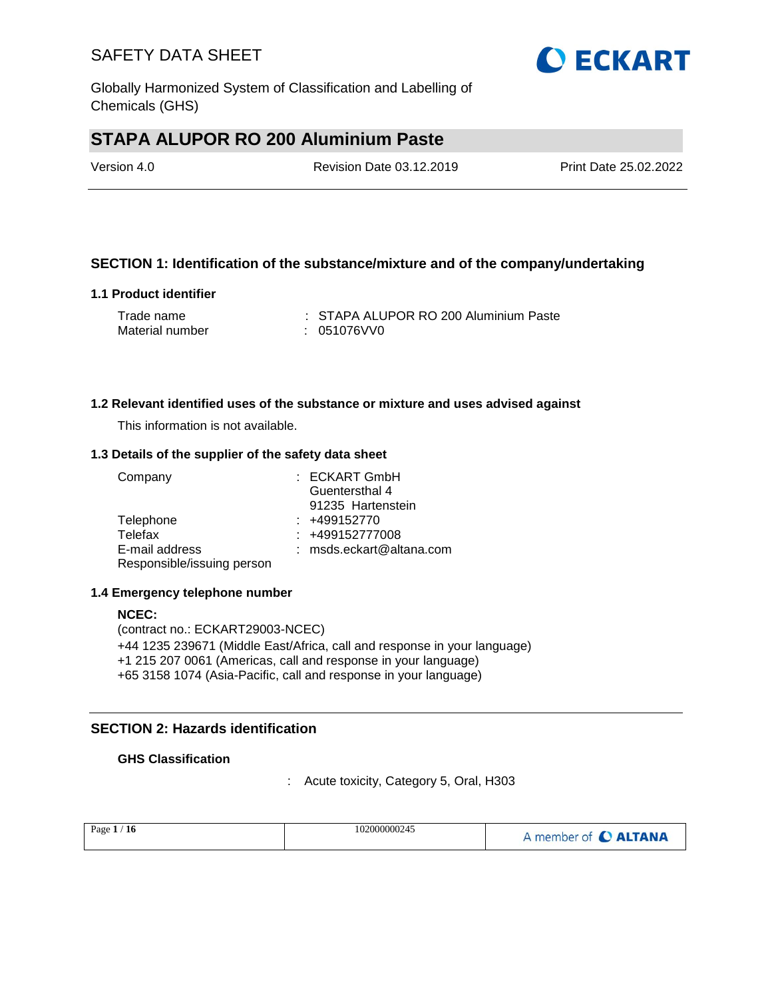

Globally Harmonized System of Classification and Labelling of Chemicals (GHS)

# **STAPA ALUPOR RO 200 Aluminium Paste**

| Version 4.0 | <b>Revision Date 03.12.2019</b> | Print Date 25.02.2022 |
|-------------|---------------------------------|-----------------------|
|             |                                 |                       |

### **SECTION 1: Identification of the substance/mixture and of the company/undertaking**

#### **1.1 Product identifier**

| Trade name      | : STAPA ALUPOR RO 200 Aluminium Paste |
|-----------------|---------------------------------------|
| Material number | : 051076VV0                           |

#### **1.2 Relevant identified uses of the substance or mixture and uses advised against**

This information is not available.

#### **1.3 Details of the supplier of the safety data sheet**

| Company                    | : ECKART GmbH              |
|----------------------------|----------------------------|
|                            | Guentersthal 4             |
|                            | 91235 Hartenstein          |
| Telephone                  | $: +499152770$             |
| Telefax                    | $: +499152777008$          |
| E-mail address             | $:$ msds.eckart@altana.com |
| Responsible/issuing person |                            |

#### **1.4 Emergency telephone number**

**NCEC:** (contract no.: ECKART29003-NCEC) +44 1235 239671 (Middle East/Africa, call and response in your language) +1 215 207 0061 (Americas, call and response in your language) +65 3158 1074 (Asia-Pacific, call and response in your language)

### **SECTION 2: Hazards identification**

#### **GHS Classification**

: Acute toxicity, Category 5, Oral, H303

| Page $1/$<br>/16 | 102000000245 | A member of C ALTANA |
|------------------|--------------|----------------------|
|------------------|--------------|----------------------|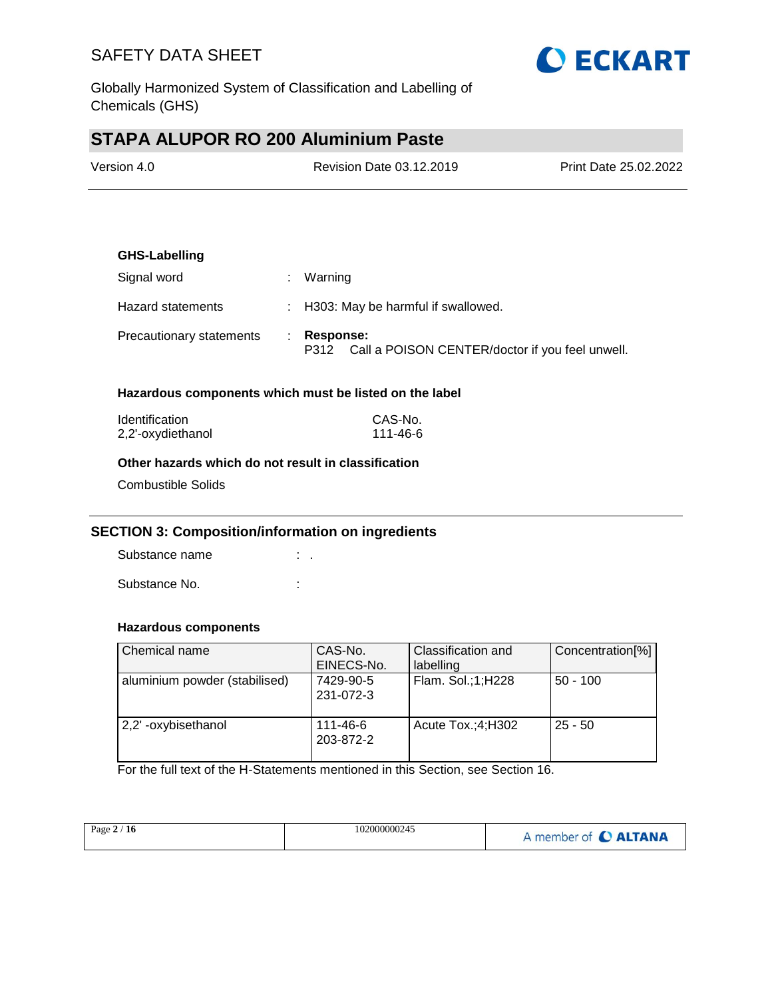

Globally Harmonized System of Classification and Labelling of Chemicals (GHS)

# **STAPA ALUPOR RO 200 Aluminium Paste**

| Version 4.0 | Revision Date 03.12.2019 | <b>Print Date 25.02.2022</b> |
|-------------|--------------------------|------------------------------|
|             |                          |                              |

# **GHS-Labelling** Signal word : Warning Hazard statements : H303: May be harmful if swallowed. Precautionary statements : **Response:**  P312 Call a POISON CENTER/doctor if you feel unwell.

#### **Hazardous components which must be listed on the label**

| <b>Identification</b> | CAS-No.  |
|-----------------------|----------|
| 2,2'-oxydiethanol     | 111-46-6 |

#### **Other hazards which do not result in classification**

Combustible Solids

#### **SECTION 3: Composition/information on ingredients**

Substance name : . Substance No. **:**  $\qquad \qquad$  :

#### **Hazardous components**

| Chemical name                 | CAS-No.<br>EINECS-No.  | Classification and<br>labelling | Concentration[%] |
|-------------------------------|------------------------|---------------------------------|------------------|
| aluminium powder (stabilised) | 7429-90-5<br>231-072-3 | Flam. Sol.;1;H228               | $50 - 100$       |
| 2,2'-oxybisethanol            | 111-46-6<br>203-872-2  | Acute $Tox$ : 4; H302           | $25 - 50$        |

For the full text of the H-Statements mentioned in this Section, see Section 16.

| Page $2/16$ | 102000000245 | A member of C ALTANA |
|-------------|--------------|----------------------|
|             |              |                      |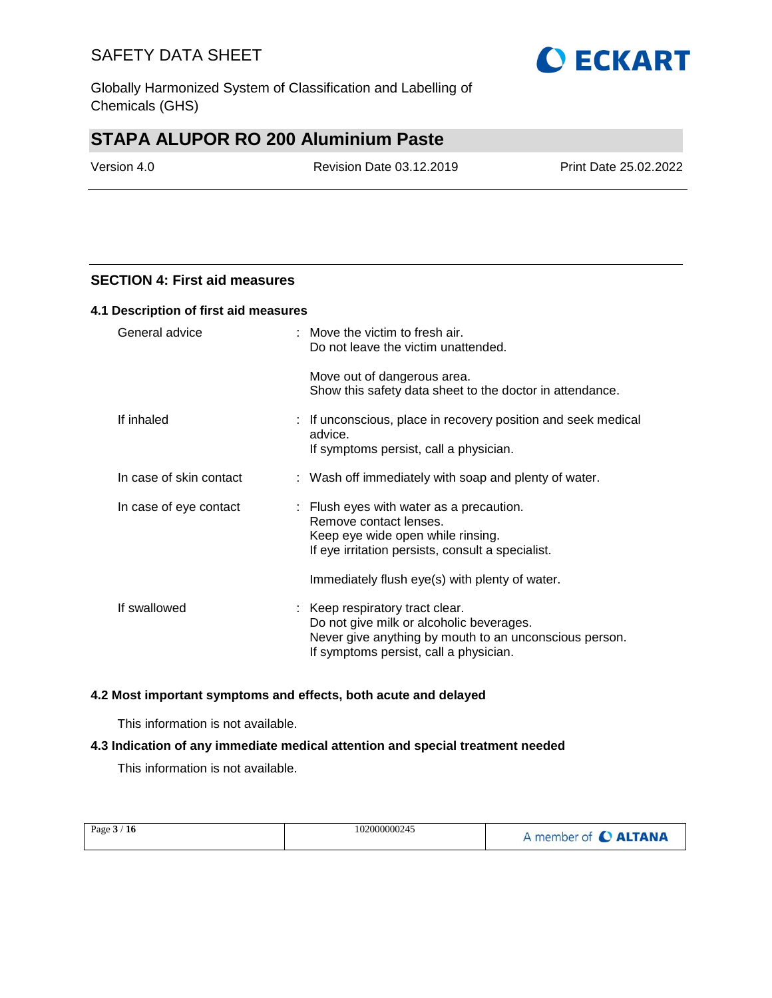Globally Harmonized System of Classification and Labelling of Chemicals (GHS)

# **STAPA ALUPOR RO 200 Aluminium Paste**

Version 4.0 Revision Date 03.12.2019 Print Date 25.02.2022

#### **SECTION 4: First aid measures**

#### **4.1 Description of first aid measures**

| General advice          | $:$ Move the victim to fresh air.<br>Do not leave the victim unattended.                                                                                                        |
|-------------------------|---------------------------------------------------------------------------------------------------------------------------------------------------------------------------------|
|                         | Move out of dangerous area.<br>Show this safety data sheet to the doctor in attendance.                                                                                         |
| If inhaled              | : If unconscious, place in recovery position and seek medical<br>advice.<br>If symptoms persist, call a physician.                                                              |
| In case of skin contact | : Wash off immediately with soap and plenty of water.                                                                                                                           |
| In case of eye contact  | $\therefore$ Flush eyes with water as a precaution.<br>Remove contact lenses.<br>Keep eye wide open while rinsing.<br>If eye irritation persists, consult a specialist.         |
|                         | Immediately flush eye(s) with plenty of water.                                                                                                                                  |
| If swallowed            | : Keep respiratory tract clear.<br>Do not give milk or alcoholic beverages.<br>Never give anything by mouth to an unconscious person.<br>If symptoms persist, call a physician. |

#### **4.2 Most important symptoms and effects, both acute and delayed**

This information is not available.

#### **4.3 Indication of any immediate medical attention and special treatment needed**

This information is not available.

| Page $3/16$ | 102000000245 | A member of C ALTANA |
|-------------|--------------|----------------------|
|-------------|--------------|----------------------|

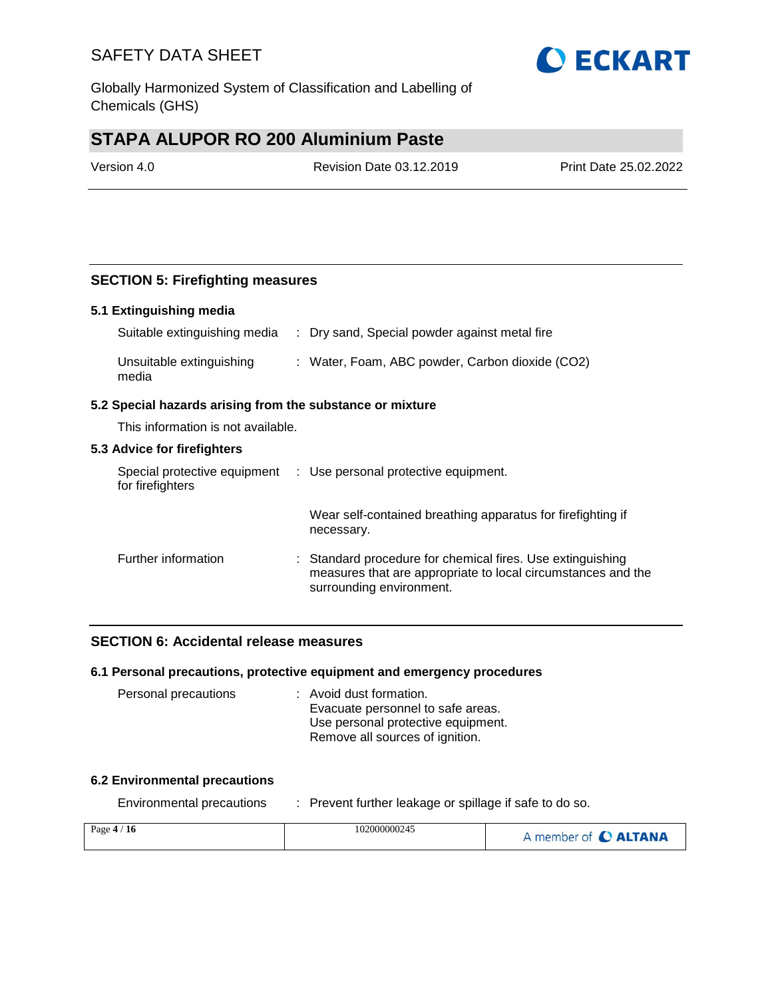Globally Harmonized System of Classification and Labelling of Chemicals (GHS)

# **STAPA ALUPOR RO 200 Aluminium Paste**

Version 4.0 Revision Date 03.12.2019 Print Date 25.02.2022

## **SECTION 5: Firefighting measures**

#### **5.1 Extinguishing media**

| Suitable extinguishing media      | : Dry sand, Special powder against metal fire   |
|-----------------------------------|-------------------------------------------------|
| Unsuitable extinguishing<br>media | : Water, Foam, ABC powder, Carbon dioxide (CO2) |

#### **5.2 Special hazards arising from the substance or mixture**

This information is not available.

#### **5.3 Advice for firefighters**

| Special protective equipment<br>for firefighters | : Use personal protective equipment.                                                                                                                   |
|--------------------------------------------------|--------------------------------------------------------------------------------------------------------------------------------------------------------|
|                                                  | Wear self-contained breathing apparatus for firefighting if<br>necessary.                                                                              |
| Further information                              | : Standard procedure for chemical fires. Use extinguishing<br>measures that are appropriate to local circumstances and the<br>surrounding environment. |

### **SECTION 6: Accidental release measures**

#### **6.1 Personal precautions, protective equipment and emergency procedures**

| Personal precautions | : Avoid dust formation.            |
|----------------------|------------------------------------|
|                      | Evacuate personnel to safe areas.  |
|                      | Use personal protective equipment. |
|                      | Remove all sources of ignition.    |

#### **6.2 Environmental precautions**

Environmental precautions : Prevent further leakage or spillage if safe to do so.

| Page $4/16$ | 102000000245 | A member of C ALTANA |
|-------------|--------------|----------------------|
|             |              |                      |

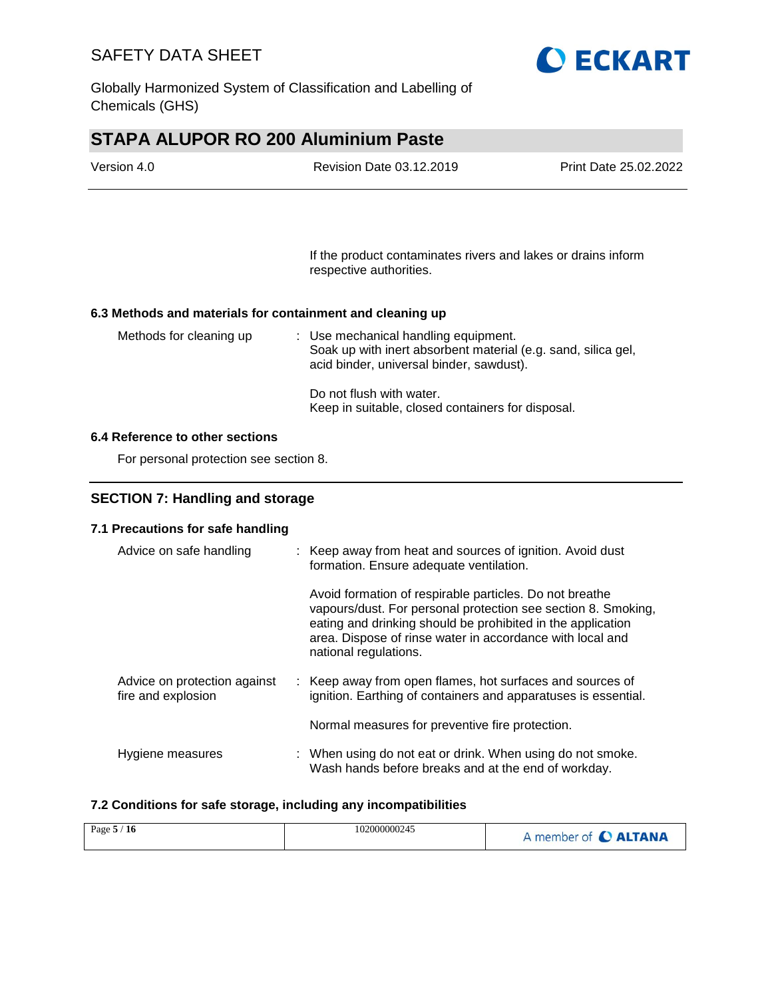

Globally Harmonized System of Classification and Labelling of Chemicals (GHS)

# **STAPA ALUPOR RO 200 Aluminium Paste**

| Version 4.0 | <b>Revision Date 03.12.2019</b> | <b>Print Date 25.02.2022</b> |
|-------------|---------------------------------|------------------------------|
|             |                                 |                              |

If the product contaminates rivers and lakes or drains inform respective authorities.

#### **6.3 Methods and materials for containment and cleaning up**

| Methods for cleaning up | : Use mechanical handling equipment.<br>Soak up with inert absorbent material (e.g. sand, silica gel,<br>acid binder, universal binder, sawdust). |
|-------------------------|---------------------------------------------------------------------------------------------------------------------------------------------------|
|                         | Do not flush with water.<br>Keep in suitable, closed containers for disposal.                                                                     |

#### **6.4 Reference to other sections**

For personal protection see section 8.

### **SECTION 7: Handling and storage**

#### **7.1 Precautions for safe handling**

| Advice on safe handling                            | : Keep away from heat and sources of ignition. Avoid dust<br>formation. Ensure adequate ventilation.                                                                                                                                                                          |
|----------------------------------------------------|-------------------------------------------------------------------------------------------------------------------------------------------------------------------------------------------------------------------------------------------------------------------------------|
|                                                    | Avoid formation of respirable particles. Do not breathe<br>vapours/dust. For personal protection see section 8. Smoking,<br>eating and drinking should be prohibited in the application<br>area. Dispose of rinse water in accordance with local and<br>national regulations. |
| Advice on protection against<br>fire and explosion | : Keep away from open flames, hot surfaces and sources of<br>ignition. Earthing of containers and apparatuses is essential.                                                                                                                                                   |
|                                                    | Normal measures for preventive fire protection.                                                                                                                                                                                                                               |
| Hygiene measures                                   | : When using do not eat or drink. When using do not smoke.<br>Wash hands before breaks and at the end of workday.                                                                                                                                                             |

#### **7.2 Conditions for safe storage, including any incompatibilities**

| Page $5/16$ | 102000000245 | A member of <b>C ALTANA</b> |
|-------------|--------------|-----------------------------|
|-------------|--------------|-----------------------------|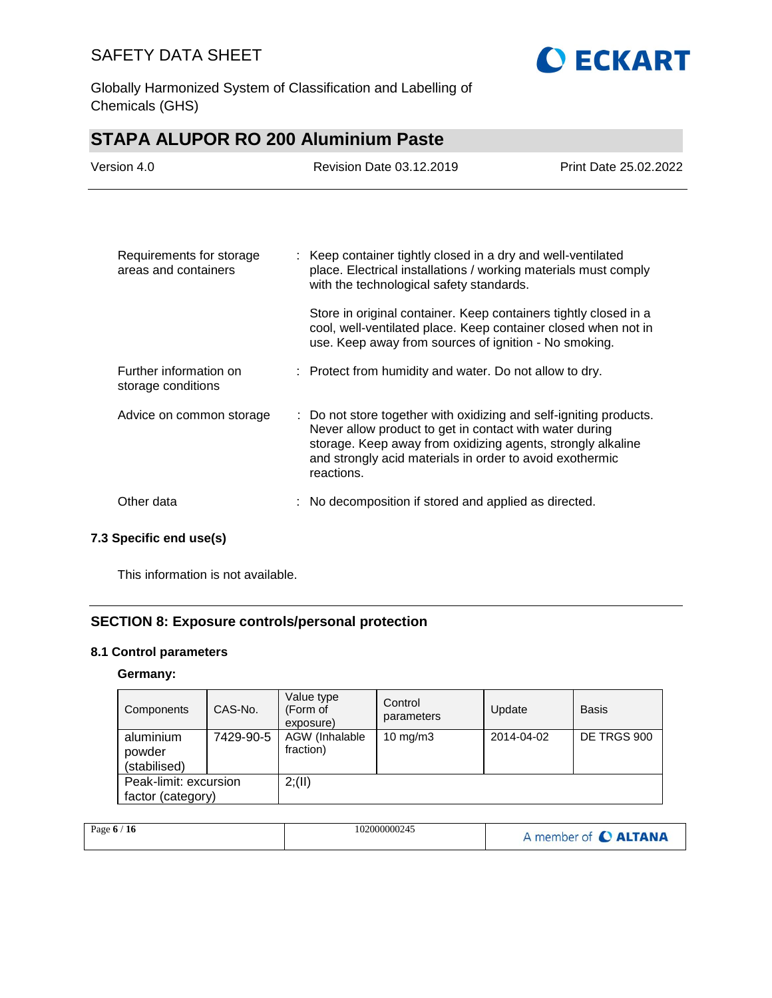

Globally Harmonized System of Classification and Labelling of Chemicals (GHS)

| <b>STAPA ALUPOR RO 200 Aluminium Paste</b>       |                                                                                                                                                                                                                                                                        |                       |  |
|--------------------------------------------------|------------------------------------------------------------------------------------------------------------------------------------------------------------------------------------------------------------------------------------------------------------------------|-----------------------|--|
| Version 4.0                                      | Revision Date 03.12.2019                                                                                                                                                                                                                                               | Print Date 25,02,2022 |  |
|                                                  |                                                                                                                                                                                                                                                                        |                       |  |
| Requirements for storage<br>areas and containers | : Keep container tightly closed in a dry and well-ventilated<br>place. Electrical installations / working materials must comply<br>with the technological safety standards.                                                                                            |                       |  |
|                                                  | Store in original container. Keep containers tightly closed in a<br>cool, well-ventilated place. Keep container closed when not in<br>use. Keep away from sources of ignition - No smoking.                                                                            |                       |  |
| Further information on<br>storage conditions     | : Protect from humidity and water. Do not allow to dry.                                                                                                                                                                                                                |                       |  |
| Advice on common storage                         | : Do not store together with oxidizing and self-igniting products.<br>Never allow product to get in contact with water during<br>storage. Keep away from oxidizing agents, strongly alkaline<br>and strongly acid materials in order to avoid exothermic<br>reactions. |                       |  |
| Other data                                       | No decomposition if stored and applied as directed.                                                                                                                                                                                                                    |                       |  |

## **7.3 Specific end use(s)**

This information is not available.

## **SECTION 8: Exposure controls/personal protection**

### **8.1 Control parameters**

### **Germany:**

| Components                                 | CAS-No.   | Value type<br>(Form of<br>exposure) | Control<br>parameters | Update     | <b>Basis</b> |
|--------------------------------------------|-----------|-------------------------------------|-----------------------|------------|--------------|
| aluminium<br>powder<br>(stabilised)        | 7429-90-5 | AGW (Inhalable<br>fraction)         | $10 \text{ mg/m}$     | 2014-04-02 | DE TRGS 900  |
| Peak-limit: excursion<br>factor (category) |           | 2; (II)                             |                       |            |              |

| Page $6/16$ | 102000000245 | A member of C ALTANA |
|-------------|--------------|----------------------|
|-------------|--------------|----------------------|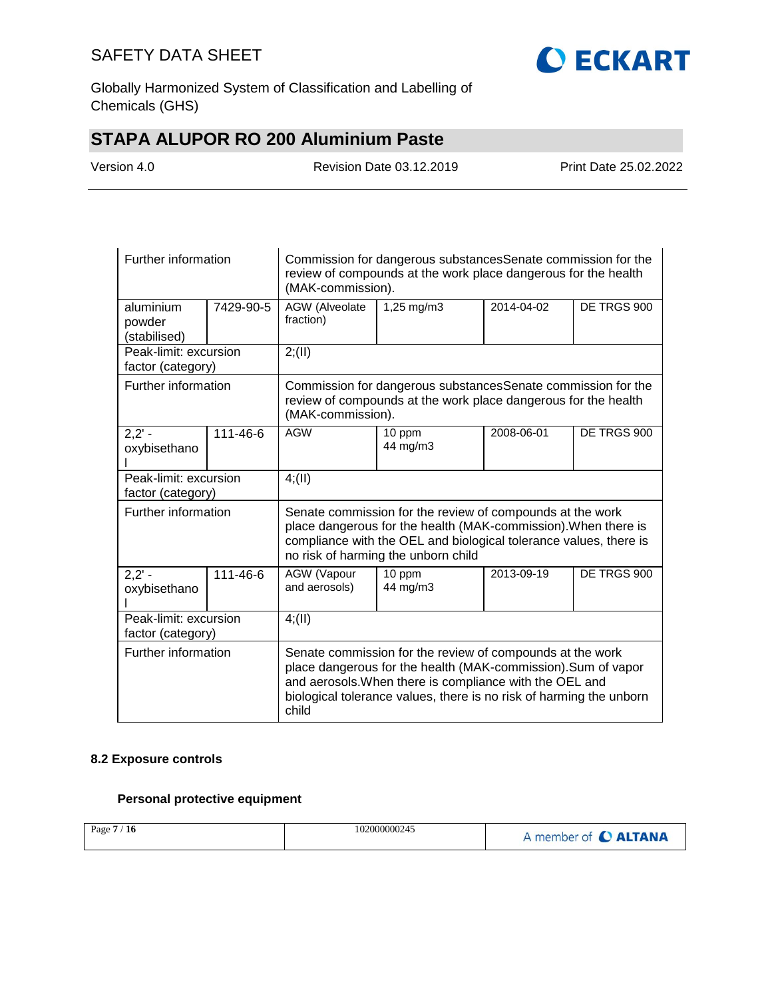

Globally Harmonized System of Classification and Labelling of Chemicals (GHS)

# **STAPA ALUPOR RO 200 Aluminium Paste**

| Version 4.0 |
|-------------|
|-------------|

Revision Date 03.12.2019 Print Date 25.02.2022

| Further information                        |                | Commission for dangerous substances Senate commission for the<br>review of compounds at the work place dangerous for the health<br>(MAK-commission).                                                                                                                  |                                                                                                                                 |            |             |  |
|--------------------------------------------|----------------|-----------------------------------------------------------------------------------------------------------------------------------------------------------------------------------------------------------------------------------------------------------------------|---------------------------------------------------------------------------------------------------------------------------------|------------|-------------|--|
| aluminium<br>powder<br>(stabilised)        | 7429-90-5      | AGW (Alveolate<br>fraction)                                                                                                                                                                                                                                           | 1,25 mg/m3                                                                                                                      | 2014-04-02 | DE TRGS 900 |  |
| Peak-limit: excursion<br>factor (category) |                | 2; (II)                                                                                                                                                                                                                                                               |                                                                                                                                 |            |             |  |
| Further information                        |                | (MAK-commission).                                                                                                                                                                                                                                                     | Commission for dangerous substances Senate commission for the<br>review of compounds at the work place dangerous for the health |            |             |  |
| $2,2' -$<br>oxybisethano                   | $111 - 46 - 6$ | <b>AGW</b>                                                                                                                                                                                                                                                            | 10 ppm<br>44 mg/m3                                                                                                              | 2008-06-01 | DE TRGS 900 |  |
| Peak-limit: excursion<br>factor (category) |                | 4(11)                                                                                                                                                                                                                                                                 |                                                                                                                                 |            |             |  |
| Further information                        |                | Senate commission for the review of compounds at the work<br>place dangerous for the health (MAK-commission). When there is<br>compliance with the OEL and biological tolerance values, there is<br>no risk of harming the unborn child                               |                                                                                                                                 |            |             |  |
| $2,2' -$<br>oxybisethano                   | 111-46-6       | AGW (Vapour<br>and aerosols)                                                                                                                                                                                                                                          | 10 ppm<br>44 mg/m3                                                                                                              | 2013-09-19 | DE TRGS 900 |  |
| Peak-limit: excursion<br>factor (category) |                | 4(11)                                                                                                                                                                                                                                                                 |                                                                                                                                 |            |             |  |
| Further information                        |                | Senate commission for the review of compounds at the work<br>place dangerous for the health (MAK-commission). Sum of vapor<br>and aerosols. When there is compliance with the OEL and<br>biological tolerance values, there is no risk of harming the unborn<br>child |                                                                                                                                 |            |             |  |

#### **8.2 Exposure controls**

### **Personal protective equipment**

| Page 7 / 16 | 102000000245 | A member of C ALTANA |
|-------------|--------------|----------------------|
|-------------|--------------|----------------------|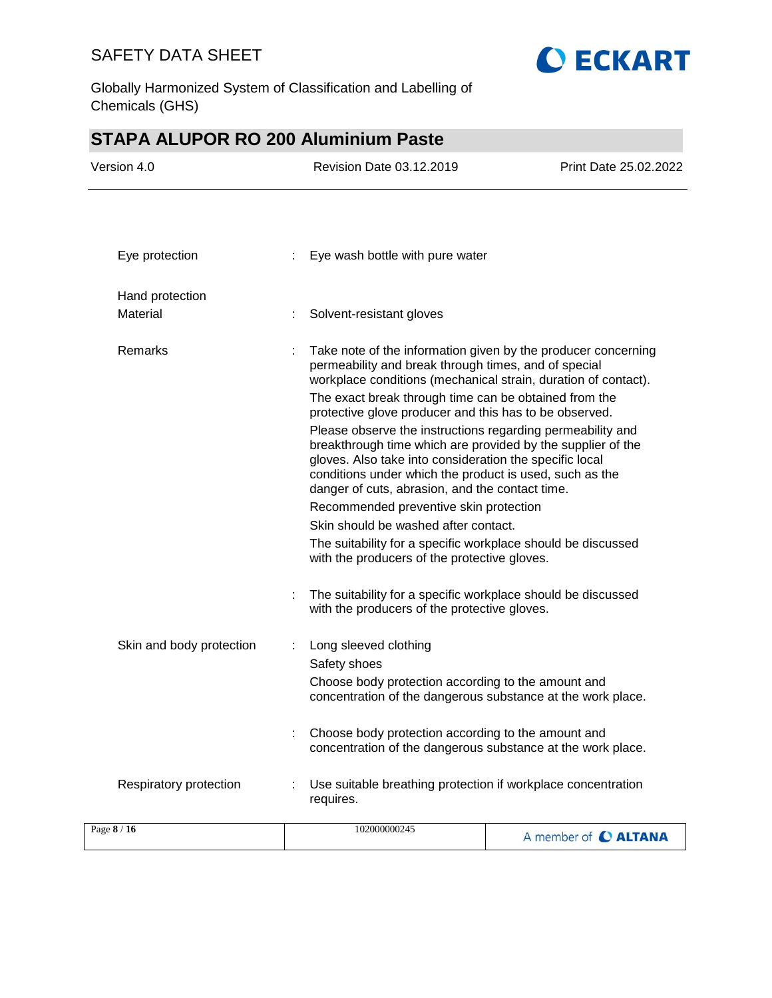

Globally Harmonized System of Classification and Labelling of Chemicals (GHS)

# **STAPA ALUPOR RO 200 Aluminium Paste**

| Version 4.0              |   | <b>Revision Date 03.12.2019</b>                                                                                                                                                                                                                                                                                                                                                                                                                                                                                                                                                                                                                                                                    | Print Date 25.02.2022 |
|--------------------------|---|----------------------------------------------------------------------------------------------------------------------------------------------------------------------------------------------------------------------------------------------------------------------------------------------------------------------------------------------------------------------------------------------------------------------------------------------------------------------------------------------------------------------------------------------------------------------------------------------------------------------------------------------------------------------------------------------------|-----------------------|
|                          |   |                                                                                                                                                                                                                                                                                                                                                                                                                                                                                                                                                                                                                                                                                                    |                       |
| Eye protection           | ÷ | Eye wash bottle with pure water                                                                                                                                                                                                                                                                                                                                                                                                                                                                                                                                                                                                                                                                    |                       |
| Hand protection          |   |                                                                                                                                                                                                                                                                                                                                                                                                                                                                                                                                                                                                                                                                                                    |                       |
| Material                 |   | Solvent-resistant gloves                                                                                                                                                                                                                                                                                                                                                                                                                                                                                                                                                                                                                                                                           |                       |
| Remarks                  |   | Take note of the information given by the producer concerning<br>permeability and break through times, and of special<br>workplace conditions (mechanical strain, duration of contact).<br>The exact break through time can be obtained from the<br>protective glove producer and this has to be observed.<br>Please observe the instructions regarding permeability and<br>breakthrough time which are provided by the supplier of the<br>gloves. Also take into consideration the specific local<br>conditions under which the product is used, such as the<br>danger of cuts, abrasion, and the contact time.<br>Recommended preventive skin protection<br>Skin should be washed after contact. |                       |
|                          |   | The suitability for a specific workplace should be discussed<br>with the producers of the protective gloves.                                                                                                                                                                                                                                                                                                                                                                                                                                                                                                                                                                                       |                       |
|                          |   | The suitability for a specific workplace should be discussed<br>with the producers of the protective gloves.                                                                                                                                                                                                                                                                                                                                                                                                                                                                                                                                                                                       |                       |
| Skin and body protection |   | Long sleeved clothing<br>Safety shoes<br>Choose body protection according to the amount and<br>concentration of the dangerous substance at the work place.                                                                                                                                                                                                                                                                                                                                                                                                                                                                                                                                         |                       |
|                          |   | Choose body protection according to the amount and<br>concentration of the dangerous substance at the work place.                                                                                                                                                                                                                                                                                                                                                                                                                                                                                                                                                                                  |                       |
| Respiratory protection   |   | Use suitable breathing protection if workplace concentration<br>requires.                                                                                                                                                                                                                                                                                                                                                                                                                                                                                                                                                                                                                          |                       |
| Page 8 / 16              |   | 102000000245                                                                                                                                                                                                                                                                                                                                                                                                                                                                                                                                                                                                                                                                                       | A member of C ALTANA  |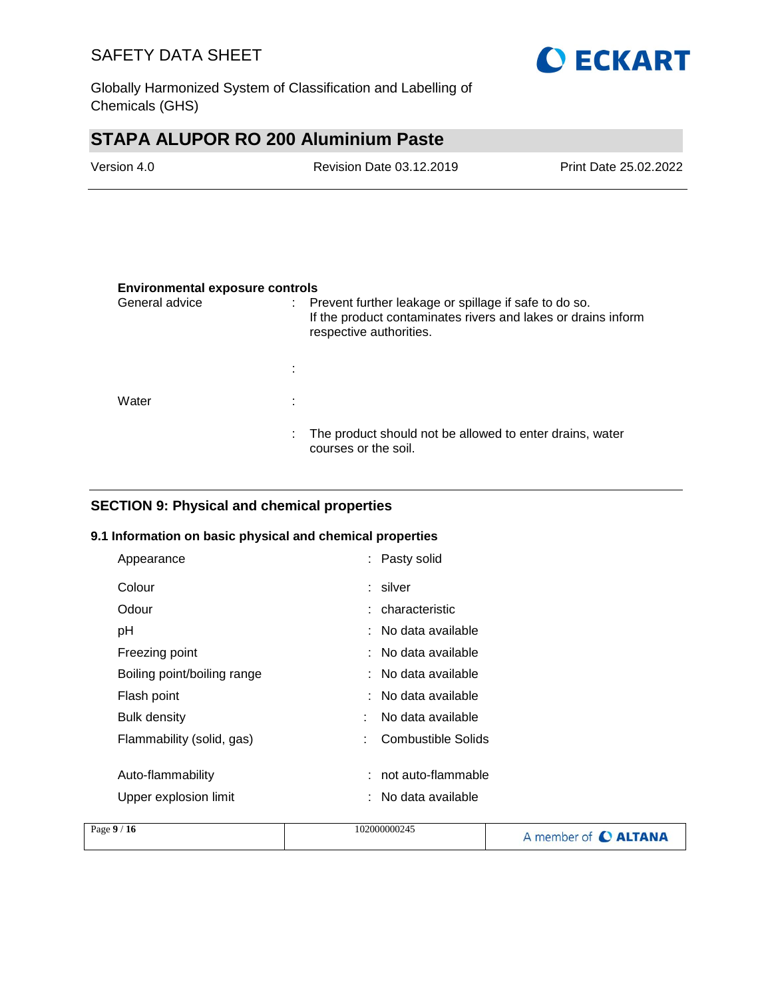

Globally Harmonized System of Classification and Labelling of Chemicals (GHS)

# **STAPA ALUPOR RO 200 Aluminium Paste**

| Version 4.0 | Revision Date 03.12.2019 | Print Date 25.02.2022 |
|-------------|--------------------------|-----------------------|
|             |                          |                       |

#### **Environmental exposure controls**

| General advice | ÷. | Prevent further leakage or spillage if safe to do so.<br>If the product contaminates rivers and lakes or drains inform<br>respective authorities. |
|----------------|----|---------------------------------------------------------------------------------------------------------------------------------------------------|
|                | ÷  |                                                                                                                                                   |
| Water          | ٠  |                                                                                                                                                   |
|                | ÷. | The product should not be allowed to enter drains, water<br>courses or the soil.                                                                  |

### **SECTION 9: Physical and chemical properties**

#### **9.1 Information on basic physical and chemical properties**

| Appearance                  | : Pasty solid           |  |
|-----------------------------|-------------------------|--|
| Colour                      | : silver                |  |
| Odour                       | : characteristic        |  |
| рH                          | $:$ No data available   |  |
| Freezing point              | $:$ No data available   |  |
| Boiling point/boiling range | $:$ No data available   |  |
| Flash point                 | $:$ No data available   |  |
| <b>Bulk density</b>         | No data available<br>÷  |  |
| Flammability (solid, gas)   | Combustible Solids<br>÷ |  |
|                             |                         |  |
| Auto-flammability           | not auto-flammable      |  |
| Upper explosion limit       | No data available       |  |
|                             |                         |  |

| Page $9/16$<br>102000000245 | A member of C ALTANA |
|-----------------------------|----------------------|
|-----------------------------|----------------------|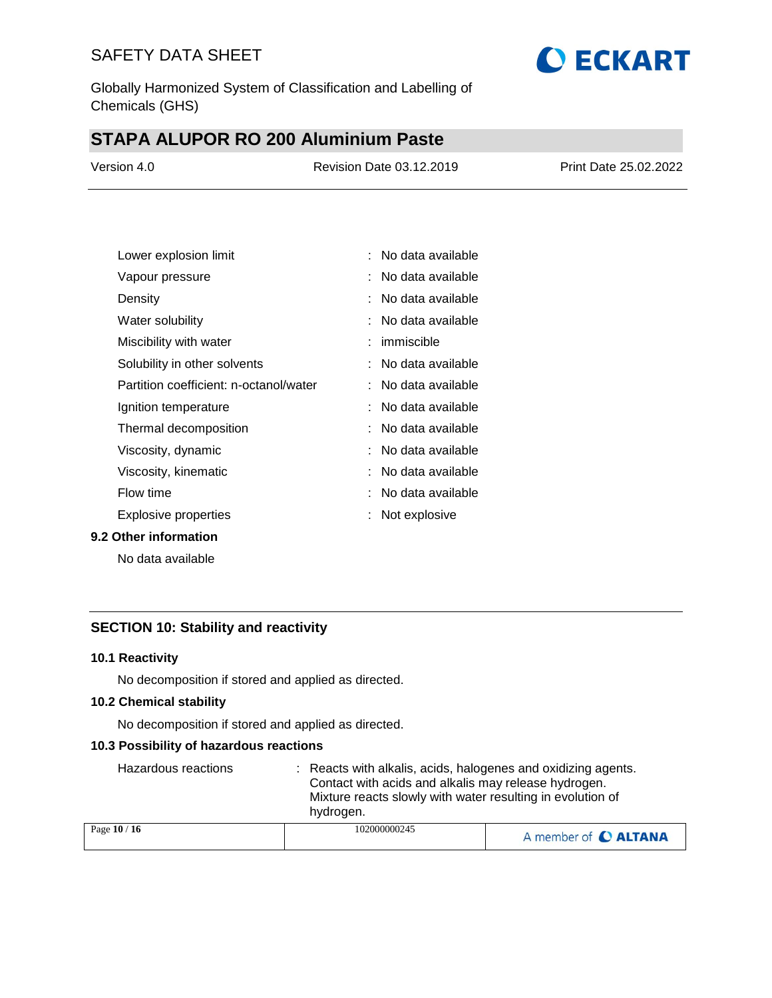

Globally Harmonized System of Classification and Labelling of Chemicals (GHS)

# **STAPA ALUPOR RO 200 Aluminium Paste**

| Version 4.0 | Revision Date 03.12.2019 | Print Date 25.02.2022 |
|-------------|--------------------------|-----------------------|
|             |                          |                       |

| Lower explosion limit                  | No data available   |
|----------------------------------------|---------------------|
| Vapour pressure                        | No data available   |
| Density                                | No data available   |
| Water solubility                       | No data available   |
| Miscibility with water                 | immiscible          |
| Solubility in other solvents           | : No data available |
| Partition coefficient: n-octanol/water | No data available   |
| Ignition temperature                   | No data available   |
| Thermal decomposition                  | No data available   |
| Viscosity, dynamic                     | No data available   |
| Viscosity, kinematic                   | No data available   |
| Flow time                              | No data available   |
| Explosive properties                   | Not explosive       |

#### **9.2 Other information**

No data available

### **SECTION 10: Stability and reactivity**

#### **10.1 Reactivity**

No decomposition if stored and applied as directed.

#### **10.2 Chemical stability**

No decomposition if stored and applied as directed.

#### **10.3 Possibility of hazardous reactions**

| Hazardous reactions | : Reacts with alkalis, acids, halogenes and oxidizing agents.<br>Contact with acids and alkalis may release hydrogen.<br>Mixture reacts slowly with water resulting in evolution of<br>hydrogen. |                      |
|---------------------|--------------------------------------------------------------------------------------------------------------------------------------------------------------------------------------------------|----------------------|
| Page 10 / 16        | 102000000245                                                                                                                                                                                     | A member of C ALTANA |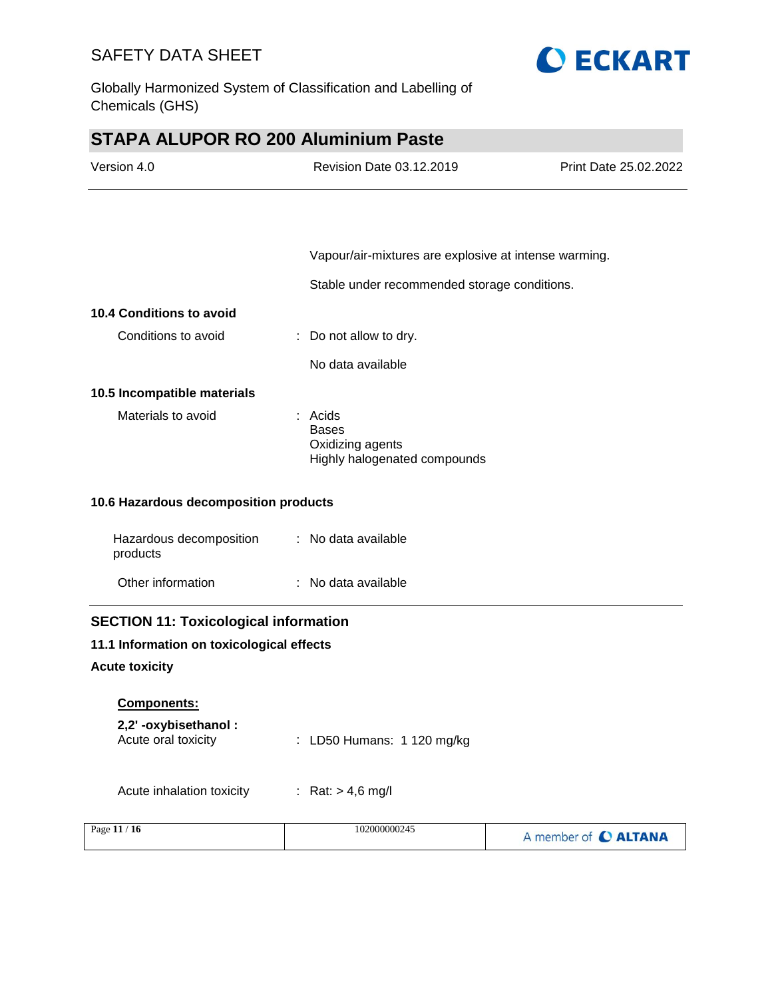

Globally Harmonized System of Classification and Labelling of Chemicals (GHS)

# **STAPA ALUPOR RO 200 Aluminium Paste**

| Version 4.0                                  | Revision Date 03.12.2019                                                    | Print Date 25.02.2022 |
|----------------------------------------------|-----------------------------------------------------------------------------|-----------------------|
|                                              |                                                                             |                       |
|                                              | Vapour/air-mixtures are explosive at intense warming.                       |                       |
|                                              | Stable under recommended storage conditions.                                |                       |
| 10.4 Conditions to avoid                     |                                                                             |                       |
| Conditions to avoid                          | Do not allow to dry.                                                        |                       |
|                                              | No data available                                                           |                       |
| 10.5 Incompatible materials                  |                                                                             |                       |
| Materials to avoid                           | : Acids<br><b>Bases</b><br>Oxidizing agents<br>Highly halogenated compounds |                       |
| 10.6 Hazardous decomposition products        |                                                                             |                       |
| Hazardous decomposition<br>products          | : No data available                                                         |                       |
| Other information                            | : No data available                                                         |                       |
| <b>SECTION 11: Toxicological information</b> |                                                                             |                       |
| 11.1 Information on toxicological effects    |                                                                             |                       |
| <b>Acute toxicity</b>                        |                                                                             |                       |
| Components:                                  |                                                                             |                       |
| 2,2'-oxybisethanol:<br>Acute oral toxicity   | LD50 Humans: 1 120 mg/kg                                                    |                       |
| Acute inhalation toxicity                    | : Rat: $> 4.6$ mg/l                                                         |                       |
| Page 11 / 16                                 | 102000000245                                                                | A member of C ALTANA  |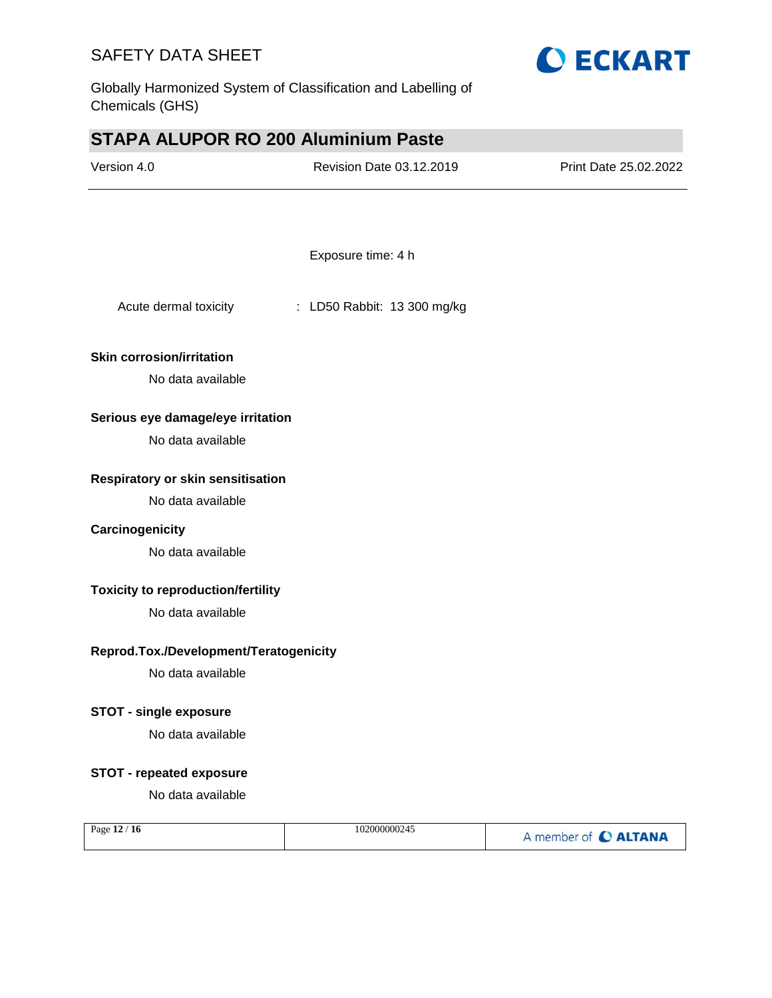

Globally Harmonized System of Classification and Labelling of Chemicals (GHS)

# **STAPA ALUPOR RO 200 Aluminium Paste**

| Version 4.0                               | Revision Date 03.12.2019    | Print Date 25.02.2022 |
|-------------------------------------------|-----------------------------|-----------------------|
|                                           |                             |                       |
|                                           | Exposure time: 4 h          |                       |
| Acute dermal toxicity                     | : LD50 Rabbit: 13 300 mg/kg |                       |
| <b>Skin corrosion/irritation</b>          |                             |                       |
| No data available                         |                             |                       |
| Serious eye damage/eye irritation         |                             |                       |
| No data available                         |                             |                       |
| Respiratory or skin sensitisation         |                             |                       |
| No data available                         |                             |                       |
| Carcinogenicity                           |                             |                       |
| No data available                         |                             |                       |
| <b>Toxicity to reproduction/fertility</b> |                             |                       |
| No data available                         |                             |                       |
| Reprod.Tox./Development/Teratogenicity    |                             |                       |
| No data available                         |                             |                       |
| <b>STOT - single exposure</b>             |                             |                       |
| No data available                         |                             |                       |
| <b>STOT - repeated exposure</b>           |                             |                       |
| No data available                         |                             |                       |
| Page 12 / 16                              | 102000000245                | A member of C ALTANA  |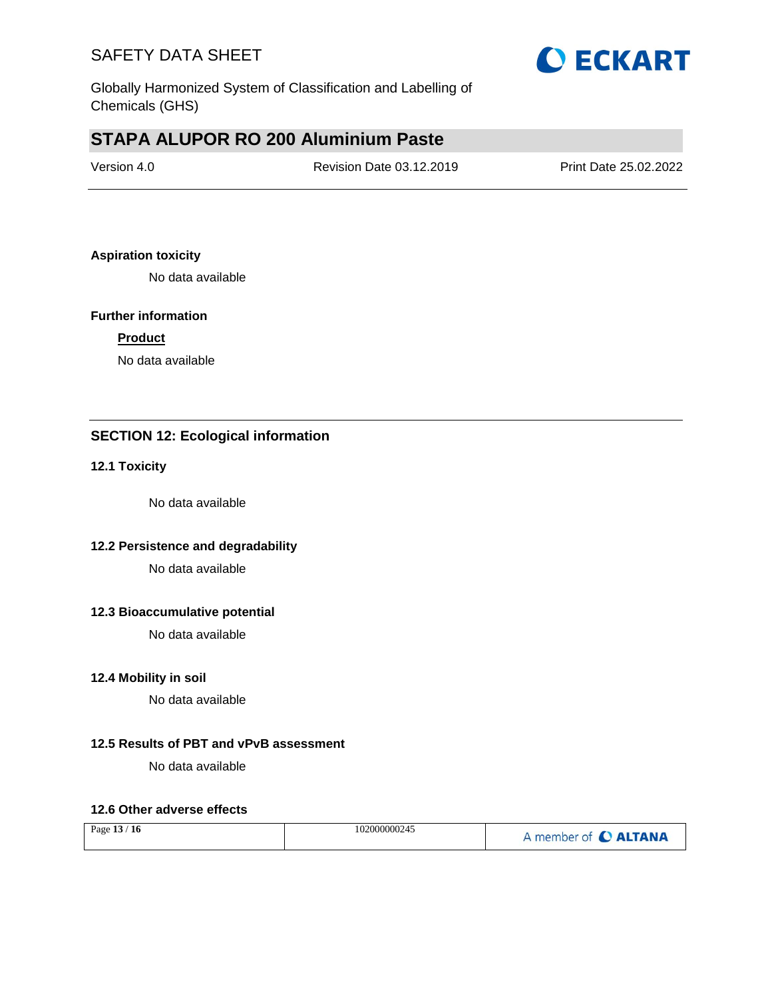

Globally Harmonized System of Classification and Labelling of Chemicals (GHS)

# **STAPA ALUPOR RO 200 Aluminium Paste**

| Version 4.0 | Revision Date 03.12.2019 | Print Date 25.02.2022 |
|-------------|--------------------------|-----------------------|
|             |                          |                       |

#### **Aspiration toxicity**

No data available

#### **Further information**

#### **Product**

No data available

### **SECTION 12: Ecological information**

#### **12.1 Toxicity**

No data available

### **12.2 Persistence and degradability**

No data available

#### **12.3 Bioaccumulative potential**

No data available

#### **12.4 Mobility in soil**

No data available

#### **12.5 Results of PBT and vPvB assessment**

No data available

#### **12.6 Other adverse effects**

| Page 13 / 16 | 102000000245 | A member of C ALTANA |
|--------------|--------------|----------------------|
|--------------|--------------|----------------------|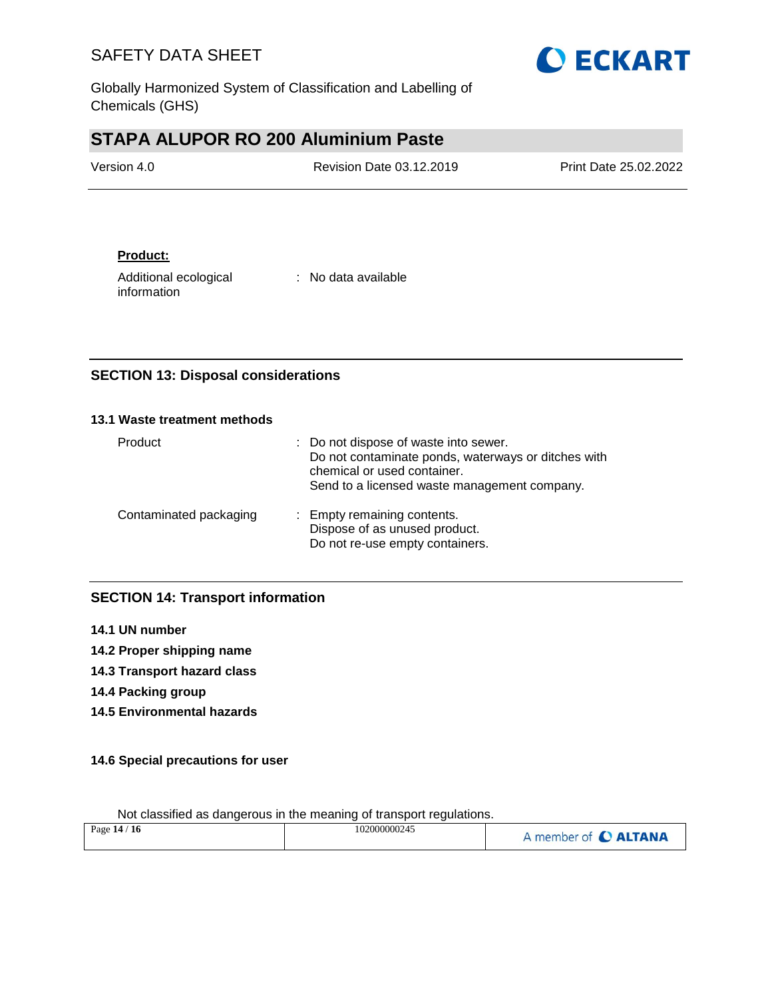

Globally Harmonized System of Classification and Labelling of Chemicals (GHS)

# **STAPA ALUPOR RO 200 Aluminium Paste**

| Version 4.0 | <b>Revision Date 03.12.2019</b> | <b>Print Date 25.02.2022</b> |
|-------------|---------------------------------|------------------------------|
|             |                                 |                              |

### **Product:**

Additional ecological information

: No data available

### **SECTION 13: Disposal considerations**

#### **13.1 Waste treatment methods**

| Product                | : Do not dispose of waste into sewer.<br>Do not contaminate ponds, waterways or ditches with<br>chemical or used container.<br>Send to a licensed waste management company. |
|------------------------|-----------------------------------------------------------------------------------------------------------------------------------------------------------------------------|
| Contaminated packaging | : Empty remaining contents.<br>Dispose of as unused product.<br>Do not re-use empty containers.                                                                             |

### **SECTION 14: Transport information**

- **14.1 UN number**
- **14.2 Proper shipping name**
- **14.3 Transport hazard class**
- **14.4 Packing group**
- **14.5 Environmental hazards**

### **14.6 Special precautions for user**

| Page 14 / 16 | 102000000245 | A member of C ALTANA |
|--------------|--------------|----------------------|
|              |              |                      |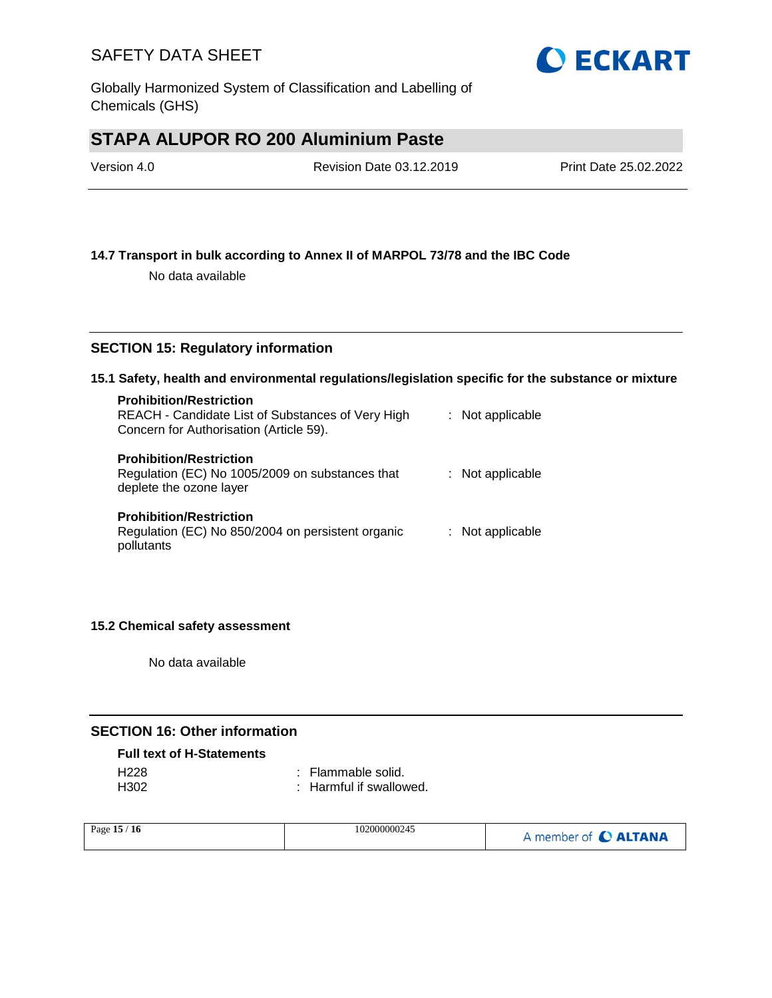

# **STAPA ALUPOR RO 200 Aluminium Paste**

| Version 4.0 | Revision Date 03.12.2019 | Print Date 25.02.2022 |
|-------------|--------------------------|-----------------------|
|             |                          |                       |

#### **14.7 Transport in bulk according to Annex II of MARPOL 73/78 and the IBC Code**

No data available

#### **SECTION 15: Regulatory information**

#### **15.1 Safety, health and environmental regulations/legislation specific for the substance or mixture**

| <b>Prohibition/Restriction</b><br>REACH - Candidate List of Substances of Very High<br>Concern for Authorisation (Article 59). | : Not applicable |
|--------------------------------------------------------------------------------------------------------------------------------|------------------|
| <b>Prohibition/Restriction</b><br>Regulation (EC) No 1005/2009 on substances that<br>deplete the ozone layer                   | : Not applicable |
| <b>Prohibition/Restriction</b><br>Regulation (EC) No 850/2004 on persistent organic<br>pollutants                              | : Not applicable |

#### **15.2 Chemical safety assessment**

No data available

### **SECTION 16: Other information**

#### **Full text of H-Statements**

| H228             | : Flammable solid.      |
|------------------|-------------------------|
| H <sub>302</sub> | : Harmful if swallowed. |

| Page $15/$<br>' 16 | 102000000245 | A member of C ALTANA |
|--------------------|--------------|----------------------|
|--------------------|--------------|----------------------|